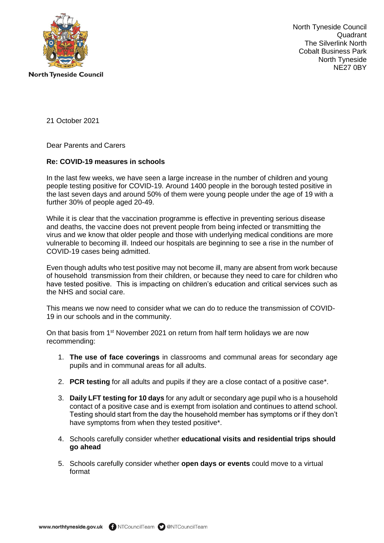

North Tyneside Council Quadrant The Silverlink North Cobalt Business Park North Tyneside NE27 0BY

21 October 2021

Dear Parents and Carers

## **Re: COVID-19 measures in schools**

In the last few weeks, we have seen a large increase in the number of children and young people testing positive for COVID-19. Around 1400 people in the borough tested positive in the last seven days and around 50% of them were young people under the age of 19 with a further 30% of people aged 20-49.

While it is clear that the vaccination programme is effective in preventing serious disease and deaths, the vaccine does not prevent people from being infected or transmitting the virus and we know that older people and those with underlying medical conditions are more vulnerable to becoming ill. Indeed our hospitals are beginning to see a rise in the number of COVID-19 cases being admitted.

Even though adults who test positive may not become ill, many are absent from work because of household transmission from their children, or because they need to care for children who have tested positive. This is impacting on children's education and critical services such as the NHS and social care.

This means we now need to consider what we can do to reduce the transmission of COVID-19 in our schools and in the community.

On that basis from  $1<sup>st</sup>$  November 2021 on return from half term holidays we are now recommending:

- 1. **The use of face coverings** in classrooms and communal areas for secondary age pupils and in communal areas for all adults.
- 2. **PCR testing** for all adults and pupils if they are a close contact of a positive case\*.
- 3. **Daily LFT testing for 10 days** for any adult or secondary age pupil who is a household contact of a positive case and is exempt from isolation and continues to attend school. Testing should start from the day the household member has symptoms or if they don't have symptoms from when they tested positive\*.
- 4. Schools carefully consider whether **educational visits and residential trips should go ahead**
- 5. Schools carefully consider whether **open days or events** could move to a virtual format